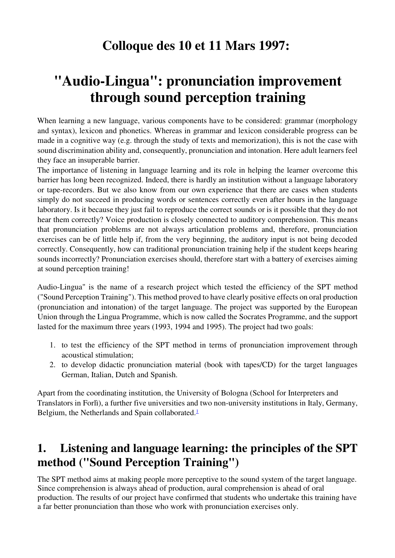# **Colloque des 10 et 11 Mars 1997:**

# **"Audio-Lingua": pronunciation improvement through sound perception training**

When learning a new language, various components have to be considered: grammar (morphology and syntax), lexicon and phonetics. Whereas in grammar and lexicon considerable progress can be made in a cognitive way (e.g. through the study of texts and memorization), this is not the case with sound discrimination ability and, consequently, pronunciation and intonation. Here adult learners feel they face an insuperable barrier.

The importance of listening in language learning and its role in helping the learner overcome this barrier has long been recognized. Indeed, there is hardly an institution without a language laboratory or tape-recorders. But we also know from our own experience that there are cases when students simply do not succeed in producing words or sentences correctly even after hours in the language laboratory. Is it because they just fail to reproduce the correct sounds or is it possible that they do not hear them correctly? Voice production is closely connected to auditory comprehension. This means that pronunciation problems are not always articulation problems and, therefore, pronunciation exercises can be of little help if, from the very beginning, the auditory input is not being decoded correctly. Consequently, how can traditional pronunciation training help if the student keeps hearing sounds incorrectly? Pronunciation exercises should, therefore start with a battery of exercises aiming at sound perception training!

Audio-Lingua" is the name of a research project which tested the efficiency of the SPT method ("Sound Perception Training"). This method proved to have clearly positive effects on oral production (pronunciation and intonation) of the target language. The project was supported by the European Union through the Lingua Programme, which is now called the Socrates Programme, and the support lasted for the maximum three years (1993, 1994 and 1995). The project had two goals:

- 1. to test the efficiency of the SPT method in terms of pronunciation improvement through acoustical stimulation;
- 2. to develop didactic pronunciation material (book with tapes/CD) for the target languages German, Italian, Dutch and Spanish.

Apart from the coordinating institution, the University of Bologna (School for Interpreters and Translators in Forlì), a further five universities and two non-university institutions in Italy, Germany, Belgium, the Netherlands and Spain collaborated[.](http://crim.inalco.fr/recomu/colloque/#note1)<sup>1</sup>

### **1. Listening and language learning: the principles of the SPT method ("Sound Perception Training")**

The SPT method aims at making people more perceptive to the sound system of the target language. Since comprehension is always ahead of production, aural comprehension is ahead of oral production. The results of our project have confirmed that students who undertake this training have a far better pronunciation than those who work with pronunciation exercises only.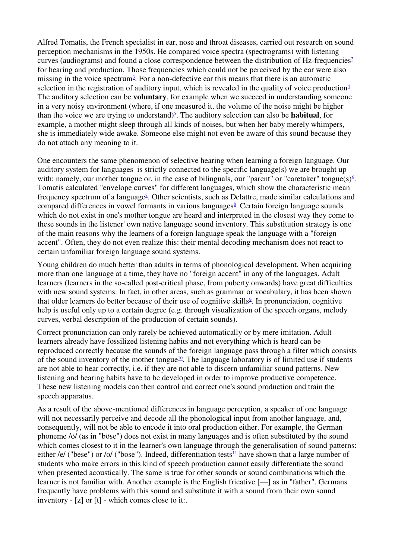Alfred Tomatis, the French specialist in ear, nose and throat diseases, carried out research on sound perception mechanisms in the 1950s. He compared voice spectra (spectrograms) with listening curves (audiograms) and found a close correspondence between the distribution of Hz-frequencies<sup>2</sup> for hearing and production. Those frequencies which could not be perceived by the ear were also missing in the voice spectrum<sup>3</sup>[.](http://crim.inalco.fr/recomu/colloque/#note3) For a non-defective ear this means that there is an automatic selection in the registration of auditory input, which is revealed in the quality of voice production $4$ . The auditory selection can be **voluntary**, for example when we succeed in understanding someone in a very noisy environment (where, if one measured it, the volume of the noise might be higher than the voice we are trying to understand)<sup>5</sup>[.](http://crim.inalco.fr/recomu/colloque/#note5) The auditory selection can also be **habitual**, for example, a mother might sleep through all kinds of noises, but when her baby merely whimpers, she is immediately wide awake. Someone else might not even be aware of this sound because they do not attach any meaning to it.

One encounters the same phenomenon of selective hearing when learning a foreign language. Our auditory system for languages is strictly connected to the specific language(s) we are brought up with: namely, our mother tongue or, in the case of bilinguals, our "parent" or "caretaker" tongue $(s)$ <sup>6</sup>. Tomatis calculated "envelope curves" for different languages, which show the characteristic mean frequency spectrum of a language<sup>2</sup>[.](http://crim.inalco.fr/recomu/colloque/#note7) Other scientists, such as Delattre, made similar calculations and compared differences in vowel formants in various languages<sup>8</sup>[.](http://crim.inalco.fr/recomu/colloque/#note8) Certain foreign language sounds which do not exist in one's mother tongue are heard and interpreted in the closest way they come to these sounds in the listener' own native language sound inventory. This substitution strategy is one of the main reasons why the learners of a foreign language speak the language with a "foreign accent". Often, they do not even realize this: their mental decoding mechanism does not react to certain unfamiliar foreign language sound systems.

Young children do much better than adults in terms of phonological development. When acquiring more than one language at a time, they have no "foreign accent" in any of the languages. Adult learners (learners in the so-called post-critical phase, from puberty onwards) have great difficulties with new sound systems. In fact, in other areas, such as grammar or vocabulary, it has been shown that older learner[s](http://crim.inalco.fr/recomu/colloque/#note9) do better because of their use of cognitive skills<sup>9</sup>[.](http://crim.inalco.fr/recomu/colloque/#note9) In pronunciation, cognitive help is useful only up to a certain degree (e.g. through visualization of the speech organs, melody curves, verbal description of the production of certain sounds).

Correct pronunciation can only rarely be achieved automatically or by mere imitation. Adult learners already have fossilized listening habits and not everything which is heard can be reproduced correctly because the sounds of the foreign language pass through a filter which consists of the sound inventory of the mother tongue<sup>[10](http://crim.inalco.fr/recomu/colloque/#note10)</sup>[.](http://crim.inalco.fr/recomu/colloque/#note10) The language laboratory is of limited use if students are not able to hear correctly, i.e. if they are not able to discern unfamiliar sound patterns. New listening and hearing habits have to be developed in order to improve productive competence. These new listening models can then control and correct one's sound production and train the speech apparatus.

As a result of the above-mentioned differences in language perception, a speaker of one language will not necessarily perceive and decode all the phonological input from another language, and, consequently, will not be able to encode it into oral production either. For example, the German phoneme /ö/ (as in "böse") does not exist in many languages and is often substituted by the sound which comes closest to it in the learner's own language through the generalisation of sound patterns: either /e/ ("bese") or /o/ ("bose"). Indeed, differentiation tests<sup>[11](http://crim.inalco.fr/recomu/colloque/#note11)</sup> [h](http://crim.inalco.fr/recomu/colloque/#note11)ave shown that a large number of students who make errors in this kind of speech production cannot easily differentiate the sound when presented acoustically. The same is true for other sounds or sound combinations which the learner is not familiar with. Another example is the English fricative [—] as in "father". Germans frequently have problems with this sound and substitute it with a sound from their own sound inventory - [z] or [t] - which comes close to it:.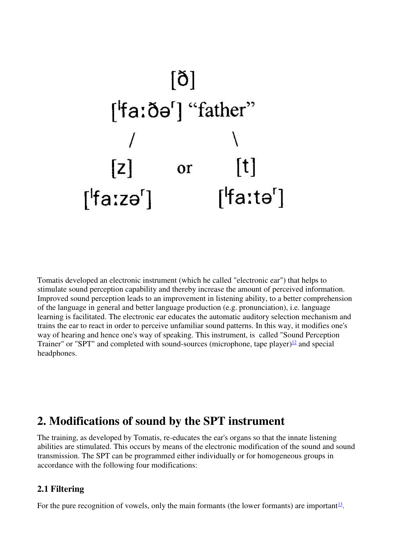

Tomatis developed an electronic instrument (which he called "electronic ear") that helps to stimulate sound perception capability and thereby increase the amount of perceived information. Improved sound perception leads to an improvement in listening ability, to a better comprehension of the language in general and better language production (e.g. pronunciation), i.e. language learning is facilitated. The electronic ear educates the automatic auditory selection mechanism and trains the ear to react in order to perceive unfamiliar sound patterns. In this way, it modifies one's way of hearing and hence one's way of speaking. This instrument, is called "Sound Perception Trainer" or "SPT" [a](http://crim.inalco.fr/recomu/colloque/#note12)nd completed with sound-sources (microphone, tape player) $\frac{12}{2}$  $\frac{12}{2}$  $\frac{12}{2}$  and special headphones.

### **2. Modifications of sound by the SPT instrument**

The training, as developed by Tomatis, re-educates the ear's organs so that the innate listening abilities are stimulated. This occurs by means of the electronic modification of the sound and sound transmission. The SPT can be programmed either individually or for homogeneous groups in accordance with the following four modifications:

#### **2.1 Filtering**

For the pure recognition of vowels, only the main formants (the lower formants) are important<sup>[13](http://crim.inalco.fr/recomu/colloque/note13)</sup>.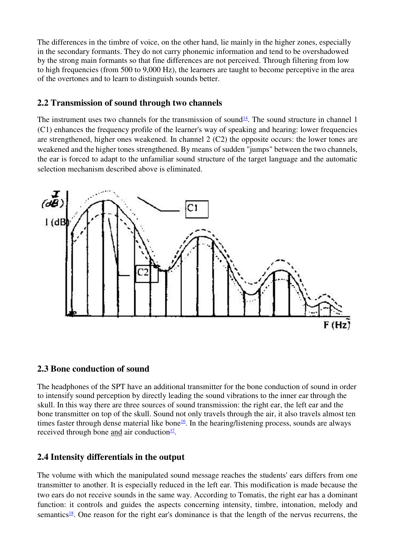The differences in the timbre of voice, on the other hand, lie mainly in the higher zones, especially in the secondary formants. They do not carry phonemic information and tend to be overshadowed by the strong main formants so that fine differences are not perceived. Through filtering from low to high frequencies (from 500 to 9,000 Hz), the learners are taught to become perceptive in the area of the overtones and to learn to distinguish sounds better.

#### **2.2 Transmission of sound through two channels**

The instrument uses two channels for the transmission of sound<sup>[14](http://crim.inalco.fr/recomu/colloque/#note14)</sup>[.](http://crim.inalco.fr/recomu/colloque/#note14) The sound structure in channel 1 (C1) enhances the frequency profile of the learner's way of speaking and hearing: lower frequencies are strengthened, higher ones weakened. In channel 2 (C2) the opposite occurs: the lower tones are weakened and the higher tones strengthened. By means of sudden "jumps" between the two channels, the ear is forced to adapt to the unfamiliar sound structure of the target language and the automatic selection mechanism described above is eliminated.



#### **2.3 Bone conduction of sound**

The headphones of the SPT have an additional transmitter for the bone conduction of sound in order to intensify sound perception by directly leading the sound vibrations to the inner ear through the skull. In this way there are three sources of sound transmission: the right ear, the left ear and the bone transmitter on top of the skull. Sound not only travels through the air, it also travels almost ten times faster through dense material like bone<sup>[16](http://crim.inalco.fr/recomu/colloque/#note16)</sup>[.](http://crim.inalco.fr/recomu/colloque/#note16) In the hearing/listening process, sounds are always received through bone and air conduction $\frac{17}{1}$  $\frac{17}{1}$  $\frac{17}{1}$ .

#### **2.4 Intensity differentials in the output**

The volume with which the manipulated sound message reaches the students' ears differs from one transmitter to another. It is especially reduced in the left ear. This modification is made because the two ears do not receive sounds in the same way. According to Tomatis, the right ear has a dominant function: it controls and guides the aspects concerning intensity, timbre, intonation, melody and semantics<sup>[18](http://crim.inalco.fr/recomu/colloque/#note18)</sup>[.](http://crim.inalco.fr/recomu/colloque/#note18) One reason for the right ear's dominance is that the length of the nervus recurrens, the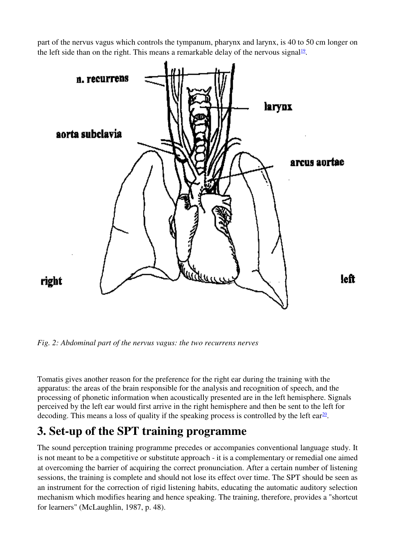part of the nervus vagus which controls the tympanum, pharynx and larynx, is 40 to 50 cm longer on the left side than on the right. This means a remarkable delay of the nervous signal<sup>[19](http://crim.inalco.fr/recomu/colloque/#note19)</sup>.



*Fig. 2: Abdominal part of the nervus vagus: the two recurrens nerves*

Tomatis gives another reason for the preference for the right ear during the training with the apparatus: the areas of the brain responsible for the analysis and recognition of speech, and the processing of phonetic information when acoustically presented are in the left hemisphere. Signals perceived by the left ear would first arrive in the right hemisphere and then be sent to the left for decoding[.](http://crim.inalco.fr/recomu/colloque/#note20) This means a loss of quality if the speaking process is controlled by the left ear $\frac{20}{1}$  $\frac{20}{1}$  $\frac{20}{1}$ .

## **3. Set-up of the SPT training programme**

The sound perception training programme precedes or accompanies conventional language study. It is not meant to be a competitive or substitute approach - it is a complementary or remedial one aimed at overcoming the barrier of acquiring the correct pronunciation. After a certain number of listening sessions, the training is complete and should not lose its effect over time. The SPT should be seen as an instrument for the correction of rigid listening habits, educating the automatic auditory selection mechanism which modifies hearing and hence speaking. The training, therefore, provides a "shortcut for learners" (McLaughlin, 1987, p. 48).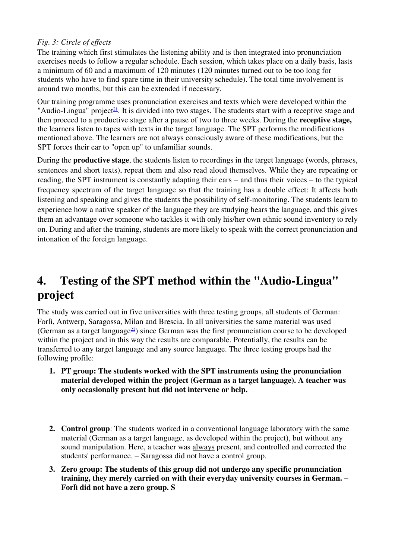#### *Fig. 3: Circle of effects*

The training which first stimulates the listening ability and is then integrated into pronunciation exercises needs to follow a regular schedule. Each session, which takes place on a daily basis, lasts a minimum of 60 and a maximum of 120 minutes (120 minutes turned out to be too long for students who have to find spare time in their university schedule). The total time involvement is around two months, but this can be extended if necessary.

Our training programme uses pronunciation exercises and texts which were developed within the "Audio-Lingua" project<sup>[21](http://crim.inalco.fr/recomu/colloque/#note21)</sup>[.](http://crim.inalco.fr/recomu/colloque/#note21) It is divided into two stages. The students start with a receptive stage and then proceed to a productive stage after a pause of two to three weeks. During the **receptive stage,**  the learners listen to tapes with texts in the target language. The SPT performs the modifications mentioned above. The learners are not always consciously aware of these modifications, but the SPT forces their ear to "open up" to unfamiliar sounds.

During the **productive stage**, the students listen to recordings in the target language (words, phrases, sentences and short texts), repeat them and also read aloud themselves. While they are repeating or reading, the SPT instrument is constantly adapting their ears – and thus their voices – to the typical frequency spectrum of the target language so that the training has a double effect: It affects both listening and speaking and gives the students the possibility of self-monitoring. The students learn to experience how a native speaker of the language they are studying hears the language, and this gives them an advantage over someone who tackles it with only his/her own ethnic sound inventory to rely on. During and after the training, students are more likely to speak with the correct pronunciation and intonation of the foreign language.

## **4. Testing of the SPT method within the "Audio-Lingua" project**

The study was carried out in five universities with three testing groups, all students of German: Forlì, Antwerp, Saragossa, Milan and Brescia. In all universities the same material was used (German as a target language $^{22}$  $^{22}$  $^{22}$ [\)](http://crim.inalco.fr/recomu/colloque/note22) since German was the first pronunciation course to be developed within the project and in this way the results are comparable. Potentially, the results can be transferred to any target language and any source language. The three testing groups had the following profile:

- **1. PT group: The students worked with the SPT instruments using the pronunciation material developed within the project (German as a target language). A teacher was only occasionally present but did not intervene or help.**
- **2. Control group**: The students worked in a conventional language laboratory with the same material (German as a target language, as developed within the project), but without any sound manipulation. Here, a teacher was always present, and controlled and corrected the students' performance. – Saragossa did not have a control group.
- **3. Zero group: The students of this group did not undergo any specific pronunciation training, they merely carried on with their everyday university courses in German. – Forlì did not have a zero group. S**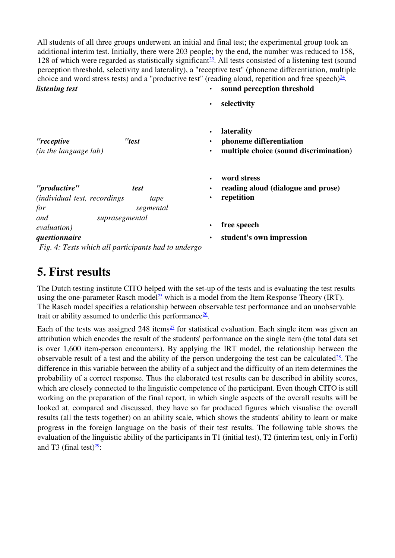All students of all three groups underwent an initial and final test; the experimental group took an additional interim test. Initially, there were 203 people; by the end, the number was reduced to 158, 128 of which were regarded as statistically significant<sup>[23](http://crim.inalco.fr/recomu/colloque/#note23)</sup>[.](http://crim.inalco.fr/recomu/colloque/#note23) All tests consisted of a listening test (sound perception threshold, selectivity and laterality), a "receptive test" (phoneme differentiation, multiple choice and word stress tests) and a "productive test" (reading aloud, repetition and free speech) $\frac{24}{4}$  $\frac{24}{4}$  $\frac{24}{4}$ . *listening test* • **sound perception threshold** 

• **selectivity**

| "receptive<br>(in the language lab)                                                                                  | "test        | $\bullet$ | <b>laterality</b><br>phoneme differentiation<br>multiple choice (sound discrimination) |
|----------------------------------------------------------------------------------------------------------------------|--------------|-----------|----------------------------------------------------------------------------------------|
| "productive"<br><i>(individual test, recordings)</i><br>for                                                          | test<br>tape |           | word stress<br>reading aloud (dialogue and prose)<br>repetition                        |
| suprasegmental<br>and<br><i>evaluation</i> )<br>questionnaire<br>Fig. 4: Tests which all participants had to undergo | segmental    |           | free speech<br>student's own impression                                                |

### **5. First results**

The Dutch testing institute CITO helped with the set-up of the tests and is evaluating the test results using the one-parameter Rasch model<sup>[25](http://crim.inalco.fr/recomu/colloque/#note25)</sup> [w](http://crim.inalco.fr/recomu/colloque/#note25)hich is a model from the Item Response Theory (IRT). The Rasch model specifies a relationship between observable test performance and an unobservable trait or ability assumed to underlie this performance $\frac{26}{1}$  $\frac{26}{1}$  $\frac{26}{1}$ .

Each of the tests was assigned 248 items<sup>[27](http://crim.inalco.fr/recomu/colloque/#note27)</sup> [f](http://crim.inalco.fr/recomu/colloque/#note27)or statistical evaluation. Each single item was given an attribution which encodes the result of the students' performance on the single item (the total data set is over 1,600 item-person encounters). By applying the IRT model, the relationship between the observable result of a test and the ability of the person undergoing the test can be calculated $28$ [.](http://crim.inalco.fr/recomu/colloque/#note28) The difference in this variable between the ability of a subject and the difficulty of an item determines the probability of a correct response. Thus the elaborated test results can be described in ability scores, which are closely connected to the linguistic competence of the participant. Even though CITO is still working on the preparation of the final report, in which single aspects of the overall results will be looked at, compared and discussed, they have so far produced figures which visualise the overall results (all the tests together) on an ability scale, which shows the students' ability to learn or make progress in the foreign language on the basis of their test results. The following table shows the evaluation of the linguistic ability of the participants in T1 (initial test), T2 (interim test, only in Forlì) and T3 (final test) $29$ :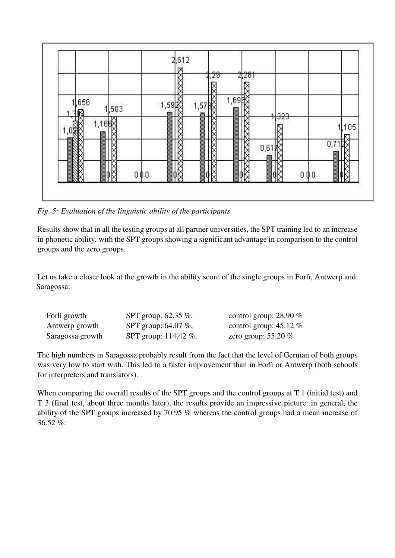

*Fig. 5: Evaluation of the linguistic ability of the participants*

Results show that in all the testing groups at all partner universities, the SPT training led to an increase in phonetic ability, with the SPT groups showing a significant advantage in comparison to the control groups and the zero groups.

Let us take a closer look at the growth in the ability score of the single groups in Forlì, Antwerp and Saragossa:

| Forlì growth     | SPT group: 62.35 %,    | control group: $28.90\%$ |
|------------------|------------------------|--------------------------|
| Antwerp growth   | SPT group: $64.07\%$ , | control group: $45.12\%$ |
| Saragossa growth | SPT group: 114.42 %,   | zero group: $55.20\%$    |

The high numbers in Saragossa probably result from the fact that the level of German of both groups was very low to start with. This led to a faster improvement than in Forlì or Antwerp (both schools for interpreters and translators).

When comparing the overall results of the SPT groups and the control groups at T 1 (initial test) and T 3 (final test, about three months later), the results provide an impressive picture: in general, the ability of the SPT groups increased by 70.95 % whereas the control groups had a mean increase of 36.52 %: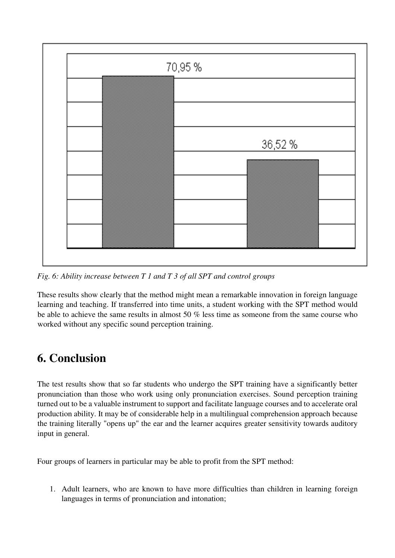

*Fig. 6: Ability increase between T 1 and T 3 of all SPT and control groups*

These results show clearly that the method might mean a remarkable innovation in foreign language learning and teaching. If transferred into time units, a student working with the SPT method would be able to achieve the same results in almost 50 % less time as someone from the same course who worked without any specific sound perception training.

# **6. Conclusion**

The test results show that so far students who undergo the SPT training have a significantly better pronunciation than those who work using only pronunciation exercises. Sound perception training turned out to be a valuable instrument to support and facilitate language courses and to accelerate oral production ability. It may be of considerable help in a multilingual comprehension approach because the training literally "opens up" the ear and the learner acquires greater sensitivity towards auditory input in general.

Four groups of learners in particular may be able to profit from the SPT method:

1. Adult learners, who are known to have more difficulties than children in learning foreign languages in terms of pronunciation and intonation;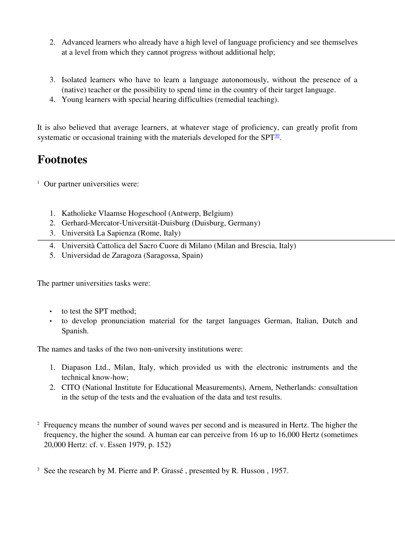- 2. Advanced learners who already have a high level of language proficiency and see themselves at a level from which they cannot progress without additional help;
- 3. Isolated learners who have to learn a language autonomously, without the presence of a (native) teacher or the possibility to spend time in the country of their target language.
- 4. Young learners with special hearing difficulties (remedial teaching).

It is also believed that average learners, at whatever stage of proficiency, can greatly profit from systematic or occasional training with the materials developed for the  $SPT_{30}^{\text{30}}$  $SPT_{30}^{\text{30}}$  $SPT_{30}^{\text{30}}$ .

# **Footnotes**

<sup>1</sup> Our partner universities were:

- 1. Katholieke Vlaamse Hogeschool (Antwerp, Belgium)
- 2. Gerhard-Mercator-Universität-Duisburg (Duisburg, Germany)
- 3. Università La Sapienza (Rome, Italy)
- 4. Università Cattolica del Sacro Cuore di Milano (Milan and Brescia, Italy)
- 5. Universidad de Zaragoza (Saragossa, Spain)

The partner universities tasks were:

- to test the SPT method:
- to develop pronunciation material for the target languages German, Italian, Dutch and Spanish.

The names and tasks of the two non-university institutions were:

- 1. Diapason Ltd., Milan, Italy, which provided us with the electronic instruments and the technical know-how;
- 2. CITO (National Institute for Educational Measurements), Arnem, Netherlands: consultation in the setup of the tests and the evaluation of the data and test results.
- <sup>2</sup> Frequency means the number of sound waves per second and is measured in Hertz. The higher the frequency, the higher the sound. A human ear can perceive from 16 up to 16,000 Hertz (sometimes 20,000 Hertz: cf. v. Essen 1979, p. 152)

<sup>&</sup>lt;sup>3</sup> See the research by M. Pierre and P. Grassé, presented by R. Husson, 1957.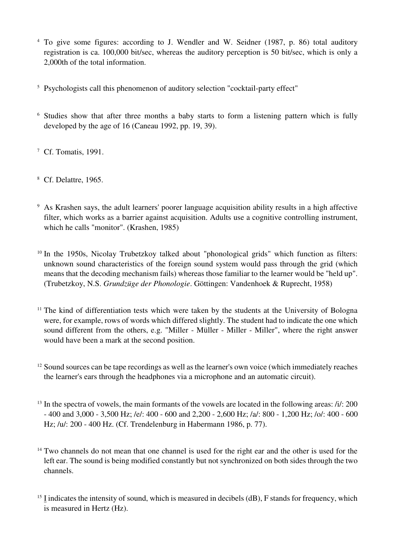- <sup>4</sup> To give some figures: according to J. Wendler and W. Seidner (1987, p. 86) total auditory registration is ca. 100,000 bit/sec, whereas the auditory perception is 50 bit/sec, which is only a 2,000th of the total information.
- <sup>5</sup> Psychologists call this phenomenon of auditory selection "cocktail-party effect"
- <sup>6</sup> Studies show that after three months a baby starts to form a listening pattern which is fully developed by the age of 16 (Caneau 1992, pp. 19, 39).
- <sup>7</sup> Cf. Tomatis, 1991.
- <sup>8</sup> Cf. Delattre, 1965.
- <sup>9</sup> As Krashen says, the adult learners' poorer language acquisition ability results in a high affective filter, which works as a barrier against acquisition. Adults use a cognitive controlling instrument, which he calls "monitor". (Krashen, 1985)
- <sup>10</sup> In the 1950s, Nicolay Trubetzkoy talked about "phonological grids" which function as filters: unknown sound characteristics of the foreign sound system would pass through the grid (which means that the decoding mechanism fails) whereas those familiar to the learner would be "held up". (Trubetzkoy, N.S. *Grundzüge der Phonologie*. Göttingen: Vandenhoek & Ruprecht, 1958)
- <sup>11</sup> The kind of differentiation tests which were taken by the students at the University of Bologna were, for example, rows of words which differed slightly. The student had to indicate the one which sound different from the others, e.g. "Miller - Müller - Miller - Miller", where the right answer would have been a mark at the second position.
- <sup>12</sup> Sound sources can be tape recordings as well as the learner's own voice (which immediately reaches the learner's ears through the headphones via a microphone and an automatic circuit).
- $13$  In the spectra of vowels, the main formants of the vowels are located in the following areas:  $\pi/1$ : 200 - 400 and 3,000 - 3,500 Hz; /e/: 400 - 600 and 2,200 - 2,600 Hz; /a/: 800 - 1,200 Hz; /o/: 400 - 600 Hz; /u/: 200 - 400 Hz. (Cf. Trendelenburg in Habermann 1986, p. 77).
- <sup>14</sup> Two channels do not mean that one channel is used for the right ear and the other is used for the left ear. The sound is being modified constantly but not synchronized on both sides through the two channels.
- $15$  I indicates the intensity of sound, which is measured in decibels (dB), F stands for frequency, which is measured in Hertz (Hz).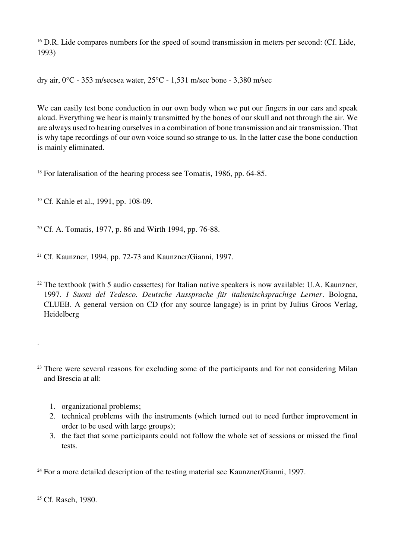<sup>16</sup> D.R. Lide compares numbers for the speed of sound transmission in meters per second: (Cf. Lide, 1993)

dry air, 0°C - 353 m/secsea water, 25°C - 1,531 m/sec bone - 3,380 m/sec

We can easily test bone conduction in our own body when we put our fingers in our ears and speak aloud. Everything we hear is mainly transmitted by the bones of our skull and not through the air. We are always used to hearing ourselves in a combination of bone transmission and air transmission. That is why tape recordings of our own voice sound so strange to us. In the latter case the bone conduction is mainly eliminated.

<sup>18</sup> For lateralisation of the hearing process see Tomatis, 1986, pp. 64-85.

<sup>19</sup> Cf. Kahle et al., 1991, pp. 108-09.

<sup>20</sup> Cf. A. Tomatis, 1977, p. 86 and Wirth 1994, pp. 76-88.

<sup>21</sup> Cf. Kaunzner, 1994, pp. 72-73 and Kaunzner/Gianni, 1997.

<sup>22</sup> The textbook (with 5 audio cassettes) for Italian native speakers is now available: U.A. Kaunzner, 1997. *I Suoni del Tedesco. Deutsche Aussprache für italienischsprachige Lerner*. Bologna, CLUEB. A general version on CD (for any source langage) is in print by Julius Groos Verlag, Heidelberg

<sup>23</sup> There were several reasons for excluding some of the participants and for not considering Milan and Brescia at all:

- 1. organizational problems;
- 2. technical problems with the instruments (which turned out to need further improvement in order to be used with large groups);
- 3. the fact that some participants could not follow the whole set of sessions or missed the final tests.

 $24$  For a more detailed description of the testing material see Kaunzner/Gianni, 1997.

<sup>25</sup> Cf. Rasch, 1980.

.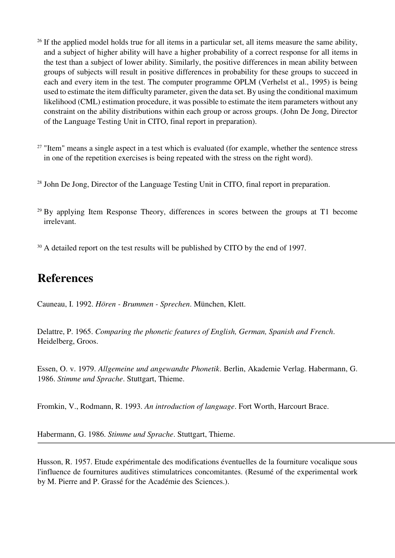- <sup>26</sup> If the applied model holds true for all items in a particular set, all items measure the same ability, and a subject of higher ability will have a higher probability of a correct response for all items in the test than a subject of lower ability. Similarly, the positive differences in mean ability between groups of subjects will result in positive differences in probability for these groups to succeed in each and every item in the test. The computer programme OPLM (Verhelst et al., 1995) is being used to estimate the item difficulty parameter, given the data set. By using the conditional maximum likelihood (CML) estimation procedure, it was possible to estimate the item parameters without any constraint on the ability distributions within each group or across groups. (John De Jong, Director of the Language Testing Unit in CITO, final report in preparation).
- <sup>27</sup> "Item" means a single aspect in a test which is evaluated (for example, whether the sentence stress in one of the repetition exercises is being repeated with the stress on the right word).
- <sup>28</sup> John De Jong, Director of the Language Testing Unit in CITO, final report in preparation.
- <sup>29</sup> By applying Item Response Theory, differences in scores between the groups at T1 become irrelevant.

<sup>30</sup> A detailed report on the test results will be published by CITO by the end of 1997.

### **References**

Cauneau, I. 1992. *Hören - Brummen - Sprechen*. München, Klett.

Delattre, P. 1965. *Comparing the phonetic features of English, German, Spanish and French*. Heidelberg, Groos.

Essen, O. v. 1979. *Allgemeine und angewandte Phonetik*. Berlin, Akademie Verlag. Habermann, G. 1986. *Stimme und Sprache*. Stuttgart, Thieme.

Fromkin, V., Rodmann, R. 1993. *An introduction of language*. Fort Worth, Harcourt Brace.

Habermann, G. 1986. *Stimme und Sprache*. Stuttgart, Thieme.

Husson, R. 1957. Etude expérimentale des modifications éventuelles de la fourniture vocalique sous l'influence de fournitures auditives stimulatrices concomitantes. (Resumé of the experimental work by M. Pierre and P. Grassé for the Académie des Sciences.).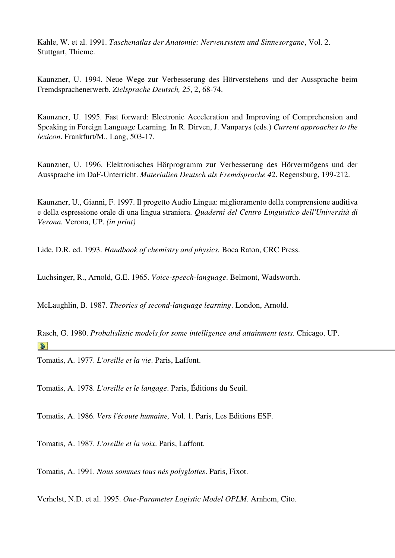Kahle, W. et al. 1991. *Taschenatlas der Anatomie: Nervensystem und Sinnesorgane*, Vol. 2. Stuttgart, Thieme.

Kaunzner, U. 1994. Neue Wege zur Verbesserung des Hörverstehens und der Aussprache beim Fremdsprachenerwerb. *Zielsprache Deutsch, 25*, 2, 68-74.

Kaunzner, U. 1995. Fast forward: Electronic Acceleration and Improving of Comprehension and Speaking in Foreign Language Learning. In R. Dirven, J. Vanparys (eds.) *Current approaches to the lexicon*. Frankfurt/M., Lang, 503-17.

Kaunzner, U. 1996. Elektronisches Hörprogramm zur Verbesserung des Hörvermögens und der Aussprache im DaF-Unterricht. *Materialien Deutsch als Fremdsprache 42*. Regensburg, 199-212.

Kaunzner, U., Gianni, F. 1997. Il progetto Audio Lingua: miglioramento della comprensione auditiva e della espressione orale di una lingua straniera. *Quaderni del Centro Linguistico dell'Università di Verona.* Verona, UP. *(in print)*

Lide, D.R. ed. 1993. *Handbook of chemistry and physics.* Boca Raton, CRC Press.

Luchsinger, R., Arnold, G.E. 1965. *Voice-speech-language*. Belmont, Wadsworth.

McLaughlin, B. 1987. *Theories of second-language learning*. London, Arnold.

Rasch, G. 1980. *Probalislistic models for some intelligence and attainment tests.* Chicago, UP.  $\mathbf{S}$ 

Tomatis, A. 1977. *L'oreille et la vie*. Paris, Laffont.

Tomatis, A. 1978. *L'oreille et le langage*. Paris, Éditions du Seuil.

Tomatis, A. 1986. *Vers l'écoute humaine,* Vol. 1. Paris, Les Editions ESF.

Tomatis, A. 1987. *L'oreille et la voix*. Paris, Laffont.

Tomatis, A. 1991. *Nous sommes tous nés polyglottes*. Paris, Fixot.

Verhelst, N.D. et al. 1995. *One-Parameter Logistic Model OPLM*. Arnhem, Cito.